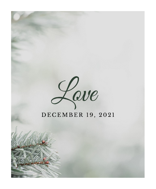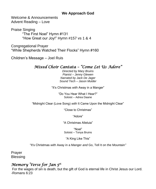#### **We Approach God**

Welcome & Announcements Advent Reading – Love

Praise Singing "The First Noel" Hymn #131 "How Great our Joy!" Hymn #157 vs 1 & 4

Congregational Prayer "While Shepherds Watched Their Flocks" Hymn #160

Children's Message – Joel Ruis

## *Mixed Choir Cantata – "Come Let Us Adore"*

*Directed by Mary Bruins Pianist – Jenny Glewen Narrated by Jack De Jager Sound Tech – Jason Mulder*

"It's Christmas *with* Away in a Manger"

"Do You Hear What I Hear?" Soloist – Adrea Daane

"Midnight Clear (Love Song) *with* It Came Upon the Midnight Clear"

"Close to Christmas"

"Adore"

"A Christmas Alleluia"

"Noel" Soloist – Tonya Bruins

"A King Like This"

"It's Christmas *with* Away in a Manger *and* Go, Tell It on the Mountain*"*

Prayer Blessing

## *Memory Verse for Jan 5th*

For the wages of sin is death, but the gift of God is eternal life in Christ Jesus our Lord. -Romans 6:23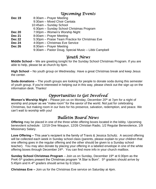### *Upcoming Events*

- **Dec 19** 8:30am Prayer Meeting
	- 9:30am Mixed Choir Cantata
	- 10:45am Sunday School
	- 6:30pm Sunday School Christmas Program
- **Dec 20** 7:00pm Women's Worship Night
- **Dec 21** 8:00am Prayer Meeting
- **Dec 22** 5:30pm Praise Team Practice for Christmas Eve
- **Dec 24** 4:00pm Christmas Eve Service
- **Dec 26** 8:30am Prayer Meeting
	- 9:30am Pastor Doug, Special Music Libbi Campbell

### *Youth News*

**Middle School** – We are greeting tonight for the Sunday School Christmas Program. If you are able to help, please be at church by 6pm.

**High School** – No youth group on Wednesday. Have a great Christmas break and keep Jesus the center.

**Soda donations** – The youth groups are looking for people to donate soda during this semester of youth group. If you're interested in helping out in this way, please check out the sign up on the information desk. Thanks!

## *Opportunities to Get Involved*

**Women's Worship Night** – Please join us on Monday, December 20<sup>th</sup> at 7pm for a night of worship and prayer as we "make room" for the savior of the world. Not just for celebrating Christmas, but making room in our lives for his presence, salvation, redemption, and peace. We can't wait to worship with you!

# *Bulletin Board News*

**Offering** may be placed in one of the three white offering boxes located in the lobby. Upcoming benevolent schedule: 12/19 One Waupun, 12/26 Christian Radio, 1/2 Regular Benevolence, 1/9 Missionary Salary.

**Love Offering –** This year's recipient is the family of Travis & Jessica Schultz. A second offering will be collected each week in Sunday school class (parents, please explain to your children that one offering goes in the regular offering and the other should be given to a Sunday school teacher). You may also donate by placing your offering in a labeled envelope in one of the white offering boxes through December 24<sup>th</sup>. You can find more info in your church mailbox.

**Sunday School Christmas Program** – Join us on Sunday, December 19<sup>th</sup> at 6:30pm as the PreK-5<sup>th</sup> graders present the Christmas program "A Star is Born". 5<sup>th</sup> graders should arrive by 5:45pm and K-4<sup>th</sup> graders should arrive by 6:10pm.

**Christmas Eve –** Join us for the Christmas Eve service on Saturday at 4pm.